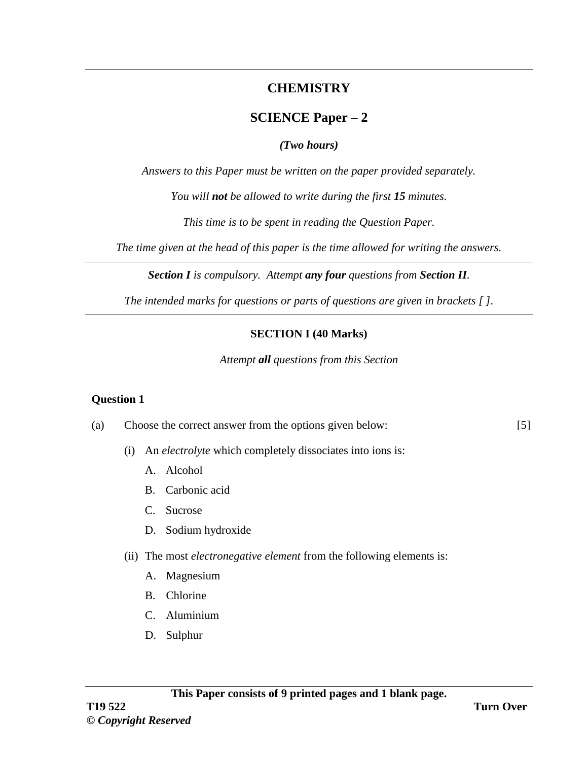# **CHEMISTRY**

# **SCIENCE Paper – 2**

## *(Two hours)*

*Answers to this Paper must be written on the paper provided separately.*

*You will not be allowed to write during the first 15 minutes.*

*This time is to be spent in reading the Question Paper.*

*The time given at the head of this paper is the time allowed for writing the answers.*

*Section I is compulsory. Attempt any four questions from Section II.*

*The intended marks for questions or parts of questions are given in brackets [ ].*

## **SECTION I (40 Marks)**

*Attempt all questions from this Section*

### **Question 1**

- (a) Choose the correct answer from the options given below: [5]
	- (i) An *electrolyte* which completely dissociates into ions is:
		- A. Alcohol
		- B. Carbonic acid
		- C. Sucrose
		- D. Sodium hydroxide
	- (ii) The most *electronegative element* from the following elements is:
		- A. Magnesium
		- B. Chlorine
		- C. Aluminium
		- D. Sulphur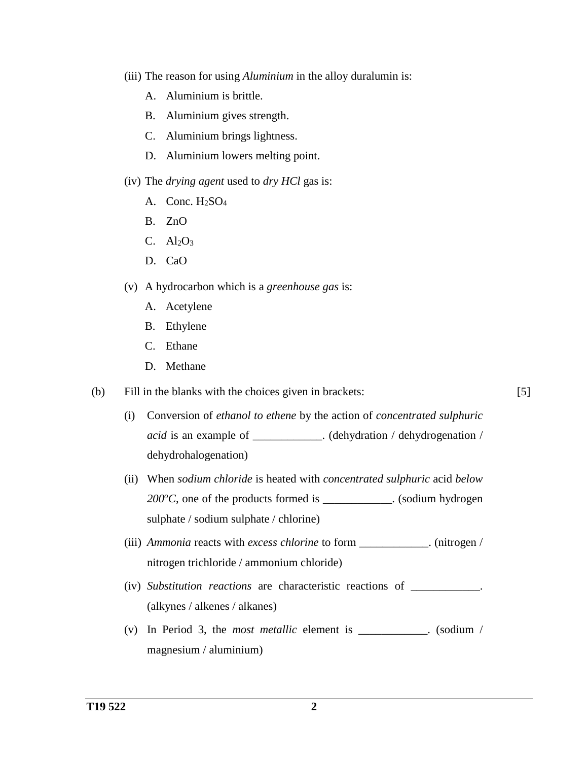- (iii) The reason for using *Aluminium* in the alloy duralumin is:
	- A. Aluminium is brittle.
	- B. Aluminium gives strength.
	- C. Aluminium brings lightness.
	- D. Aluminium lowers melting point.
- (iv) The *drying agent* used to *dry HCl* gas is:
	- A. Conc. H<sub>2</sub>SO<sub>4</sub>
	- B. ZnO
	- C.  $\text{Al}_2\text{O}_3$
	- D. CaO
- (v) A hydrocarbon which is a *greenhouse gas* is:
	- A. Acetylene
	- B. Ethylene
	- C. Ethane
	- D. Methane
- (b) Fill in the blanks with the choices given in brackets:
	- (i) Conversion of *ethanol to ethene* by the action of *concentrated sulphuric acid* is an example of \_\_\_\_\_\_\_\_\_\_\_\_. (dehydration / dehydrogenation / dehydrohalogenation)
	- (ii) When *sodium chloride* is heated with *concentrated sulphuric* acid *below 200<sup>o</sup>C*, one of the products formed is \_\_\_\_\_\_\_\_\_\_\_\_. (sodium hydrogen sulphate / sodium sulphate / chlorine)
	- (iii) *Ammonia* reacts with *excess chlorine* to form \_\_\_\_\_\_\_\_\_\_\_\_. (nitrogen / nitrogen trichloride / ammonium chloride)
	- (iv) *Substitution reactions* are characteristic reactions of \_\_\_\_\_\_\_\_\_\_\_\_. (alkynes / alkenes / alkanes)
	- (v) In Period 3, the *most metallic* element is \_\_\_\_\_\_\_\_\_\_\_\_. (sodium / magnesium / aluminium)

[5]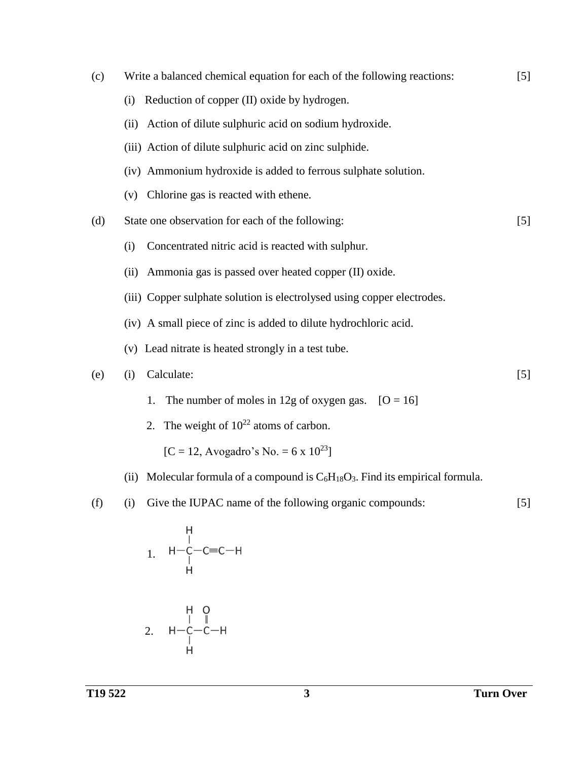| (c) | Write a balanced chemical equation for each of the following reactions:              |       |  |  |  |
|-----|--------------------------------------------------------------------------------------|-------|--|--|--|
|     | Reduction of copper (II) oxide by hydrogen.<br>(i)                                   |       |  |  |  |
|     | Action of dilute sulphuric acid on sodium hydroxide.<br>(ii)                         |       |  |  |  |
|     | (iii) Action of dilute sulphuric acid on zinc sulphide.                              |       |  |  |  |
|     | (iv) Ammonium hydroxide is added to ferrous sulphate solution.                       |       |  |  |  |
|     | Chlorine gas is reacted with ethene.<br>(v)                                          |       |  |  |  |
| (d) | State one observation for each of the following:                                     | [5]   |  |  |  |
|     | Concentrated nitric acid is reacted with sulphur.<br>(i)                             |       |  |  |  |
|     | Ammonia gas is passed over heated copper (II) oxide.<br>(ii)                         |       |  |  |  |
|     | (iii) Copper sulphate solution is electrolysed using copper electrodes.              |       |  |  |  |
|     | (iv) A small piece of zinc is added to dilute hydrochloric acid.                     |       |  |  |  |
|     | (v) Lead nitrate is heated strongly in a test tube.                                  |       |  |  |  |
| (e) | Calculate:<br>(i)                                                                    | $[5]$ |  |  |  |
|     | The number of moles in 12g of oxygen gas. $[O = 16]$<br>1.                           |       |  |  |  |
|     | 2. The weight of $10^{22}$ atoms of carbon.                                          |       |  |  |  |
|     | $[C = 12, Avogadro's No. = 6 \times 10^{23}]$                                        |       |  |  |  |
|     | (ii) Molecular formula of a compound is $C_6H_{18}O_3$ . Find its empirical formula. |       |  |  |  |
| (f) | Give the IUPAC name of the following organic compounds:<br>(i)                       | $[5]$ |  |  |  |
|     |                                                                                      |       |  |  |  |

$$
\begin{array}{cccc}\n & & H \\
 & | & & \\
1. & H - C - C = C - H \\
 & | & & \\
\end{array}
$$

$$
\begin{array}{cccc}\n & & H & O \\
 & | & \| & \\
2. & H & -C & -C & -H \\
 & | & | & \\
\end{array}
$$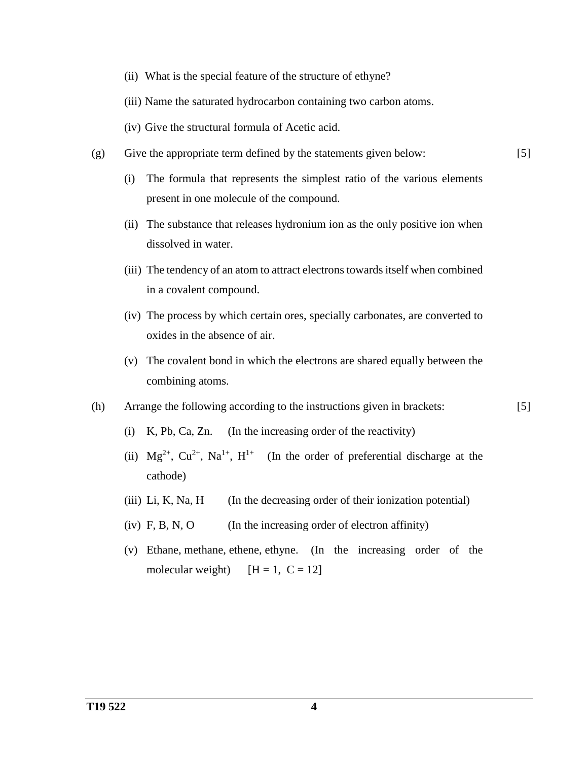- (ii) What is the special feature of the structure of ethyne?
- (iii) Name the saturated hydrocarbon containing two carbon atoms.
- (iv) Give the structural formula of Acetic acid.
- (g) Give the appropriate term defined by the statements given below:

[5]

[5]

- (i) The formula that represents the simplest ratio of the various elements present in one molecule of the compound.
- (ii) The substance that releases hydronium ion as the only positive ion when dissolved in water.
- (iii) The tendency of an atom to attract electrons towards itself when combined in a covalent compound.
- (iv) The process by which certain ores, specially carbonates, are converted to oxides in the absence of air.
- (v) The covalent bond in which the electrons are shared equally between the combining atoms.
- (h) Arrange the following according to the instructions given in brackets:
	- (i) K, Pb, Ca, Zn. (In the increasing order of the reactivity)
	- (ii)  $Mg^{2+}$ ,  $Cu^{2+}$ ,  $Na^{1+}$ ,  $H^{1+}$  (In the order of preferential discharge at the cathode)
	- (iii) Li, K, Na, H  $\qquad$  (In the decreasing order of their ionization potential)
	- (iv)  $F, B, N, O$  (In the increasing order of electron affinity)
	- (v) Ethane, methane, ethene, ethyne. (In the increasing order of the molecular weight)  $[H = 1, C = 12]$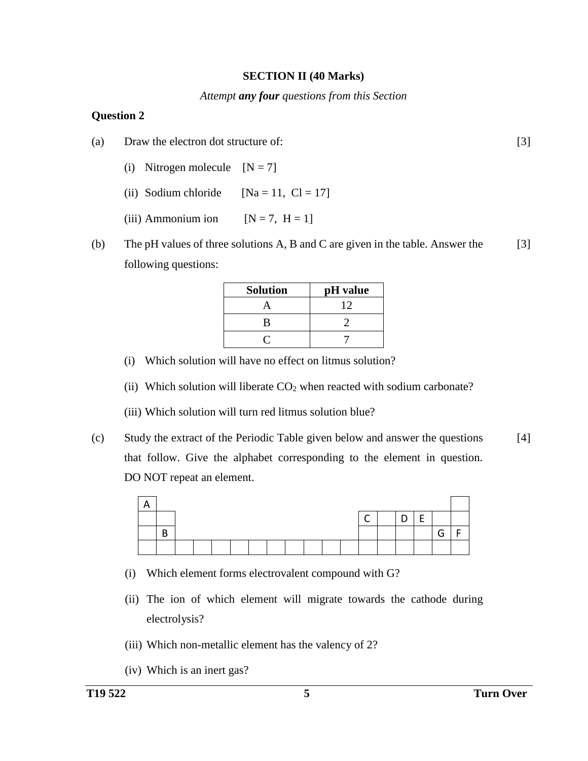#### **SECTION II (40 Marks)**

#### *Attempt any four questions from this Section*

#### **Question 2**

- (a) Draw the electron dot structure of:
	- (i) Nitrogen molecule  $[N = 7]$
	- (ii) Sodium chloride  $[Na = 11, Cl = 17]$
	- (iii) Ammonium ion  $[N = 7, H = 1]$
- (b) The pH values of three solutions A, B and C are given in the table. Answer the following questions: [3]

| <b>Solution</b> | pH value |
|-----------------|----------|
|                 | 12       |
| В               |          |
|                 |          |

- (i) Which solution will have no effect on litmus solution?
- (ii) Which solution will liberate  $CO<sub>2</sub>$  when reacted with sodium carbonate?
- (iii) Which solution will turn red litmus solution blue?
- (c) Study the extract of the Periodic Table given below and answer the questions that follow. Give the alphabet corresponding to the element in question. DO NOT repeat an element. [4]



- (i) Which element forms electrovalent compound with G?
- (ii) The ion of which element will migrate towards the cathode during electrolysis?
- (iii) Which non-metallic element has the valency of 2?
- (iv) Which is an inert gas?

[3]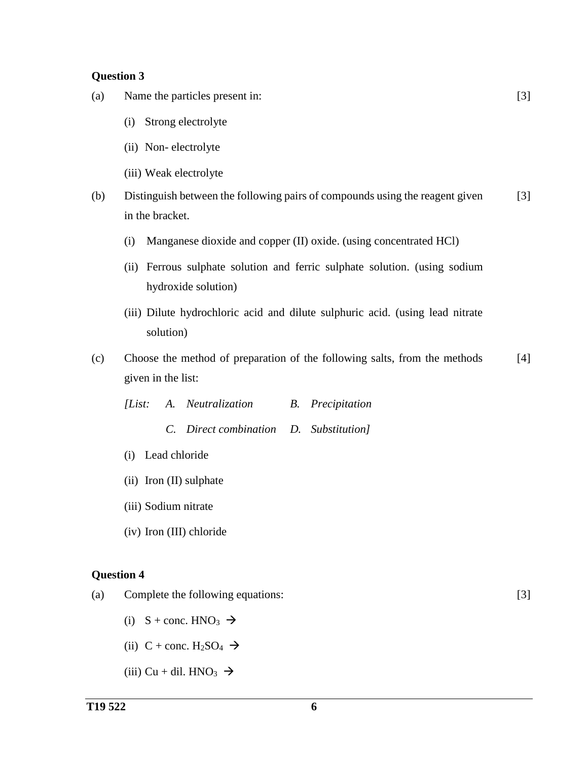- (a) Name the particles present in:
	- (i) Strong electrolyte
	- (ii) Non- electrolyte
	- (iii) Weak electrolyte
- (b) Distinguish between the following pairs of compounds using the reagent given in the bracket. [3]
	- (i) Manganese dioxide and copper (II) oxide. (using concentrated HCl)
	- (ii) Ferrous sulphate solution and ferric sulphate solution. (using sodium hydroxide solution)
	- (iii) Dilute hydrochloric acid and dilute sulphuric acid. (using lead nitrate solution)
- (c) Choose the method of preparation of the following salts, from the methods given in the list: [4]

|  | [List: A. Neutralization]             | <b>B.</b> Precipitation |
|--|---------------------------------------|-------------------------|
|  | C. Direct combination D. Substitution |                         |

- (i) Lead chloride
- (ii) Iron (II) sulphate
- (iii) Sodium nitrate
- (iv) Iron (III) chloride

#### **Question 4**

(a) Complete the following equations:

[3]

[3]

- (i)  $S + \text{conc. HNO}_3 \rightarrow$
- (ii) C + conc.  $H_2SO_4 \rightarrow$
- (iii) Cu + dil. HNO<sub>3</sub>  $\rightarrow$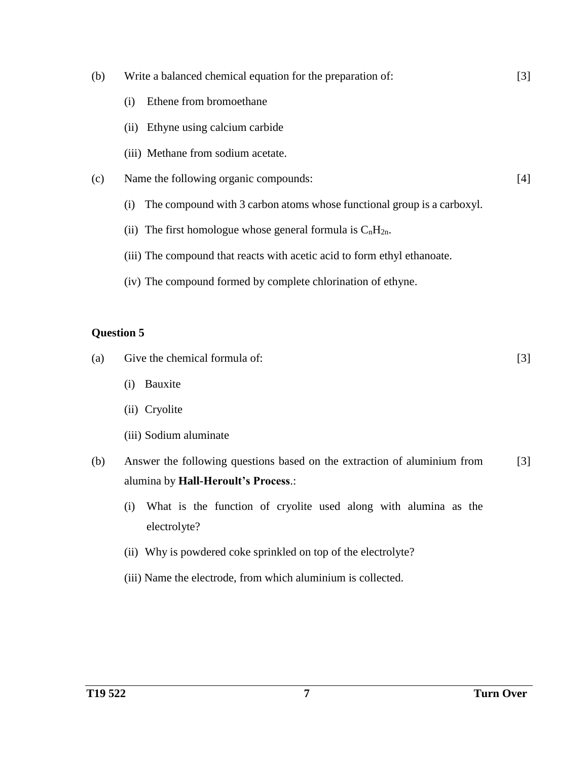- (b) Write a balanced chemical equation for the preparation of:
	- (i) Ethene from bromoethane
	- (ii) Ethyne using calcium carbide
	- (iii) Methane from sodium acetate.
- (c) Name the following organic compounds:
	- (i) The compound with 3 carbon atoms whose functional group is a carboxyl.
	- (ii) The first homologue whose general formula is  $C_nH_{2n}$ .
	- (iii) The compound that reacts with acetic acid to form ethyl ethanoate.
	- (iv) The compound formed by complete chlorination of ethyne.

- (a) Give the chemical formula of: [3]
	- (i) Bauxite
	- (ii) Cryolite
	- (iii) Sodium aluminate
- (b) Answer the following questions based on the extraction of aluminium from alumina by **Hall-Heroult's Process**.: [3]
	- (i) What is the function of cryolite used along with alumina as the electrolyte?
	- (ii) Why is powdered coke sprinkled on top of the electrolyte?
	- (iii) Name the electrode, from which aluminium is collected.

[3]

[4]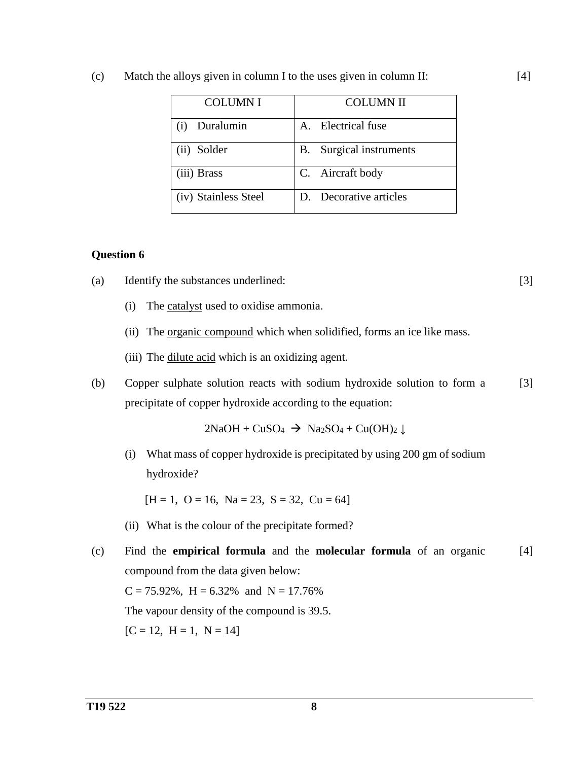| (c) | Match the alloys given in column I to the uses given in column II: |  |  |  |  |
|-----|--------------------------------------------------------------------|--|--|--|--|
|-----|--------------------------------------------------------------------|--|--|--|--|

| <b>COLUMNI</b>       | <b>COLUMN II</b>                  |
|----------------------|-----------------------------------|
| Duralumin            | A. Electrical fuse                |
| (ii) Solder          | Surgical instruments<br><b>B.</b> |
| (iii) Brass          | C. Aircraft body                  |
| (iv) Stainless Steel | D. Decorative articles            |

- (a) Identify the substances underlined:
	- (i) The catalyst used to oxidise ammonia.
	- (ii) The <u>organic compound</u> which when solidified, forms an ice like mass.
	- (iii) The dilute acid which is an oxidizing agent.
- (b) Copper sulphate solution reacts with sodium hydroxide solution to form a precipitate of copper hydroxide according to the equation: [3]

 $2NaOH + CuSO<sub>4</sub>$   $\rightarrow$   $Na<sub>2</sub>SO<sub>4</sub> + Cu(OH)<sub>2</sub>$   $\downarrow$ 

(i) What mass of copper hydroxide is precipitated by using 200 gm of sodium hydroxide?

 $[H = 1, O = 16, Na = 23, S = 32, Cu = 64]$ 

- (ii) What is the colour of the precipitate formed?
- (c) Find the **empirical formula** and the **molecular formula** of an organic compound from the data given below:  $C = 75.92\%$ ,  $H = 6.32\%$  and  $N = 17.76\%$ The vapour density of the compound is 39.5.  $[C = 12, H = 1, N = 14]$ [4]

[3]